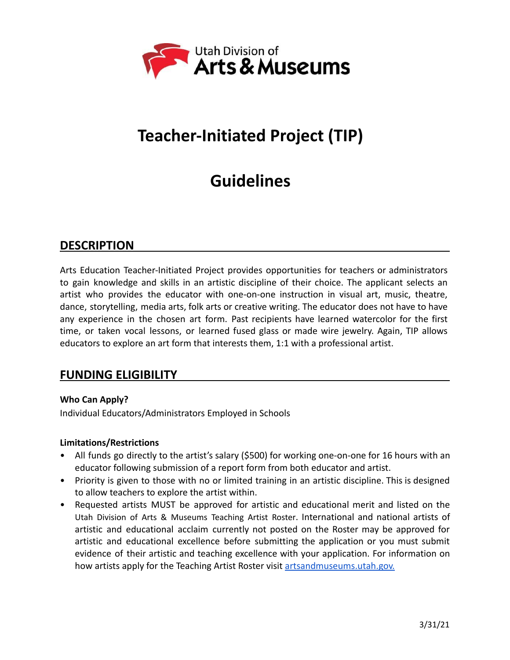

# **Teacher-Initiated Project (TIP)**

# **Guidelines**

# **DESCRIPTION**

Arts Education Teacher-Initiated Project provides opportunities for teachers or administrators to gain knowledge and skills in an artistic discipline of their choice. The applicant selects an artist who provides the educator with one-on-one instruction in visual art, music, theatre, dance, storytelling, media arts, folk arts or creative writing. The educator does not have to have any experience in the chosen art form. Past recipients have learned watercolor for the first time, or taken vocal lessons, or learned fused glass or made wire jewelry. Again, TIP allows educators to explore an art form that interests them, 1:1 with a professional artist.

## **FUNDING ELIGIBILITY**

## **Who Can Apply?**

Individual Educators/Administrators Employed in Schools

#### **Limitations/Restrictions**

- All funds go directly to the artist's salary (\$500) for working one-on-one for 16 hours with an educator following submission of a report form from both educator and artist.
- Priority is given to those with no or limited training in an artistic discipline. This is designed to allow teachers to explore the artist within.
- Requested artists MUST be approved for artistic and educational merit and listed on the Utah Division of Arts & [Museums](http://heritage.utah.gov/arts-and-museums/arts-ed-learning) Teaching Artist Roster. International and national artists of artistic and educational acclaim currently not posted on the Roster may be approved for artistic and educational excellence before submitting the application or you must submit evidence of their artistic and teaching excellence with your application. For information on how artists apply for the Teaching Artist Roster visit [artsandmuseums.utah.gov.](https://artsandmuseums.utah.gov/teaching-artist-roster/)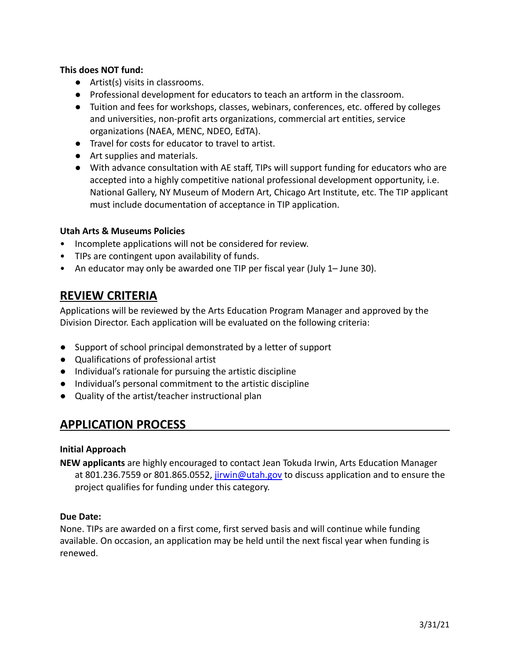### **This does NOT fund:**

- Artist(s) visits in classrooms.
- Professional development for educators to teach an artform in the classroom.
- Tuition and fees for workshops, classes, webinars, conferences, etc. offered by colleges and universities, non-profit arts organizations, commercial art entities, service organizations (NAEA, MENC, NDEO, EdTA).
- Travel for costs for educator to travel to artist.
- Art supplies and materials.
- With advance consultation with AE staff, TIPs will support funding for educators who are accepted into a highly competitive national professional development opportunity, i.e. National Gallery, NY Museum of Modern Art, Chicago Art Institute, etc. The TIP applicant must include documentation of acceptance in TIP application.

## **Utah Arts & Museums Policies**

- Incomplete applications will not be considered for review.
- TIPs are contingent upon availability of funds.
- An educator may only be awarded one TIP per fiscal year (July 1– June 30).

# **REVIEW CRITERIA**

Applications will be reviewed by the Arts Education Program Manager and approved by the Division Director. Each application will be evaluated on the following criteria:

- Support of school principal demonstrated by a letter of support
- Qualifications of professional artist
- Individual's rationale for pursuing the artistic discipline
- Individual's personal commitment to the artistic discipline
- Quality of the artist/teacher instructional plan

# **APPLICATION PROCESS**

#### **Initial Approach**

**NEW applicants** are highly encouraged to contact Jean Tokuda Irwin, Arts Education Manager at 801.236.7559 or 801.865.0552, [jirwin@utah.gov](mailto:jirwin@utah.gov) to discuss application and to ensure the project qualifies for funding under this category.

#### **Due Date:**

None. TIPs are awarded on a first come, first served basis and will continue while funding available. On occasion, an application may be held until the next fiscal year when funding is renewed.